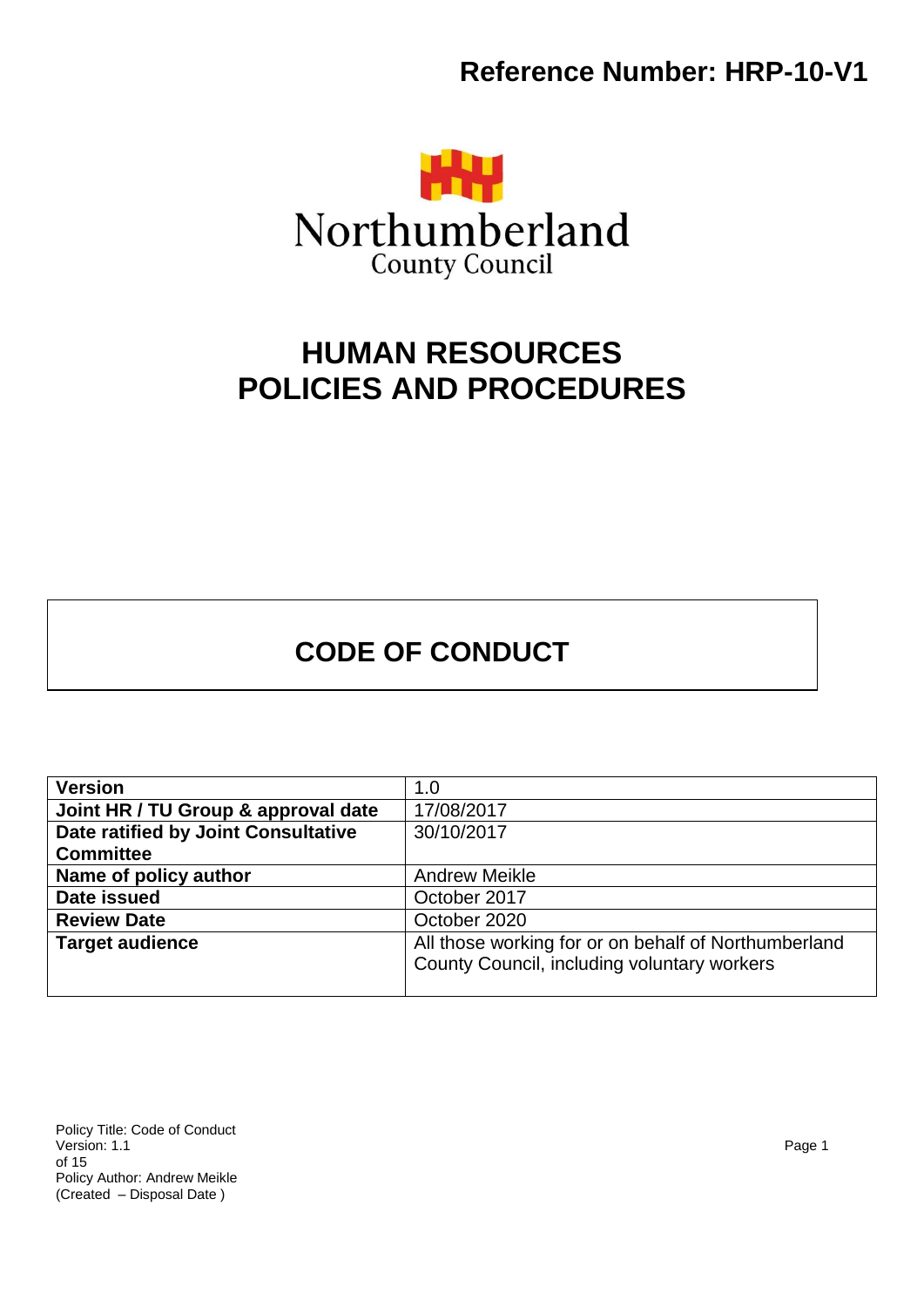

# **HUMAN RESOURCES POLICIES AND PROCEDURES**

# **CODE OF CONDUCT**

| <b>Version</b>                      | 1.0                                                  |
|-------------------------------------|------------------------------------------------------|
| Joint HR / TU Group & approval date | 17/08/2017                                           |
| Date ratified by Joint Consultative | 30/10/2017                                           |
| <b>Committee</b>                    |                                                      |
| Name of policy author               | <b>Andrew Meikle</b>                                 |
| Date issued                         | October 2017                                         |
| <b>Review Date</b>                  | October 2020                                         |
| <b>Target audience</b>              | All those working for or on behalf of Northumberland |
|                                     | County Council, including voluntary workers          |
|                                     |                                                      |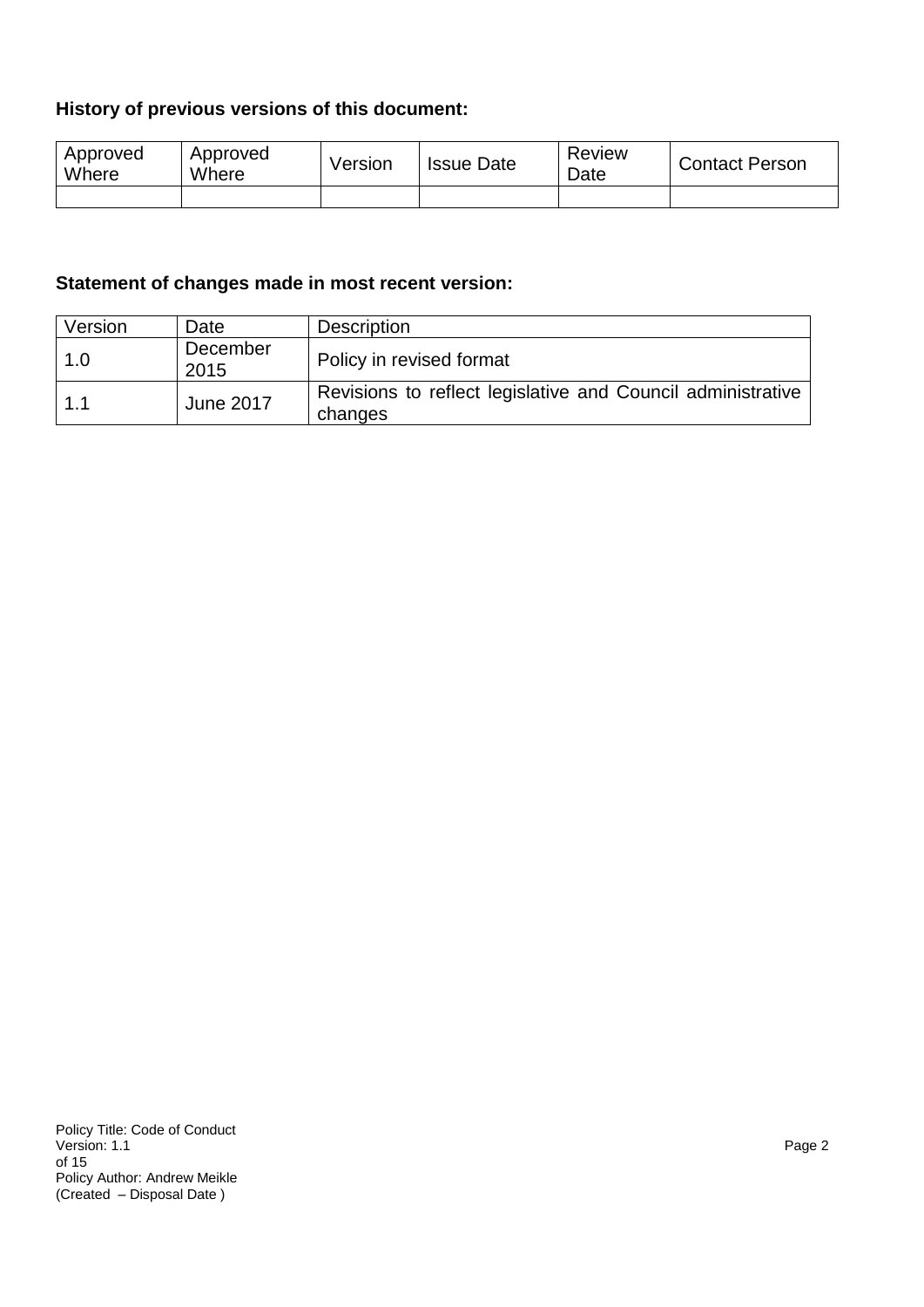## **History of previous versions of this document:**

| Approved<br>Where | Approved<br>Where | Version | <b>Issue Date</b> | <b>Review</b><br>Date | <b>Contact Person</b> |
|-------------------|-------------------|---------|-------------------|-----------------------|-----------------------|
|                   |                   |         |                   |                       |                       |

## **Statement of changes made in most recent version:**

| Version | Date             | Description                                                            |
|---------|------------------|------------------------------------------------------------------------|
| 1.0     | December<br>2015 | Policy in revised format                                               |
| 1.1     | <b>June 2017</b> | Revisions to reflect legislative and Council administrative<br>changes |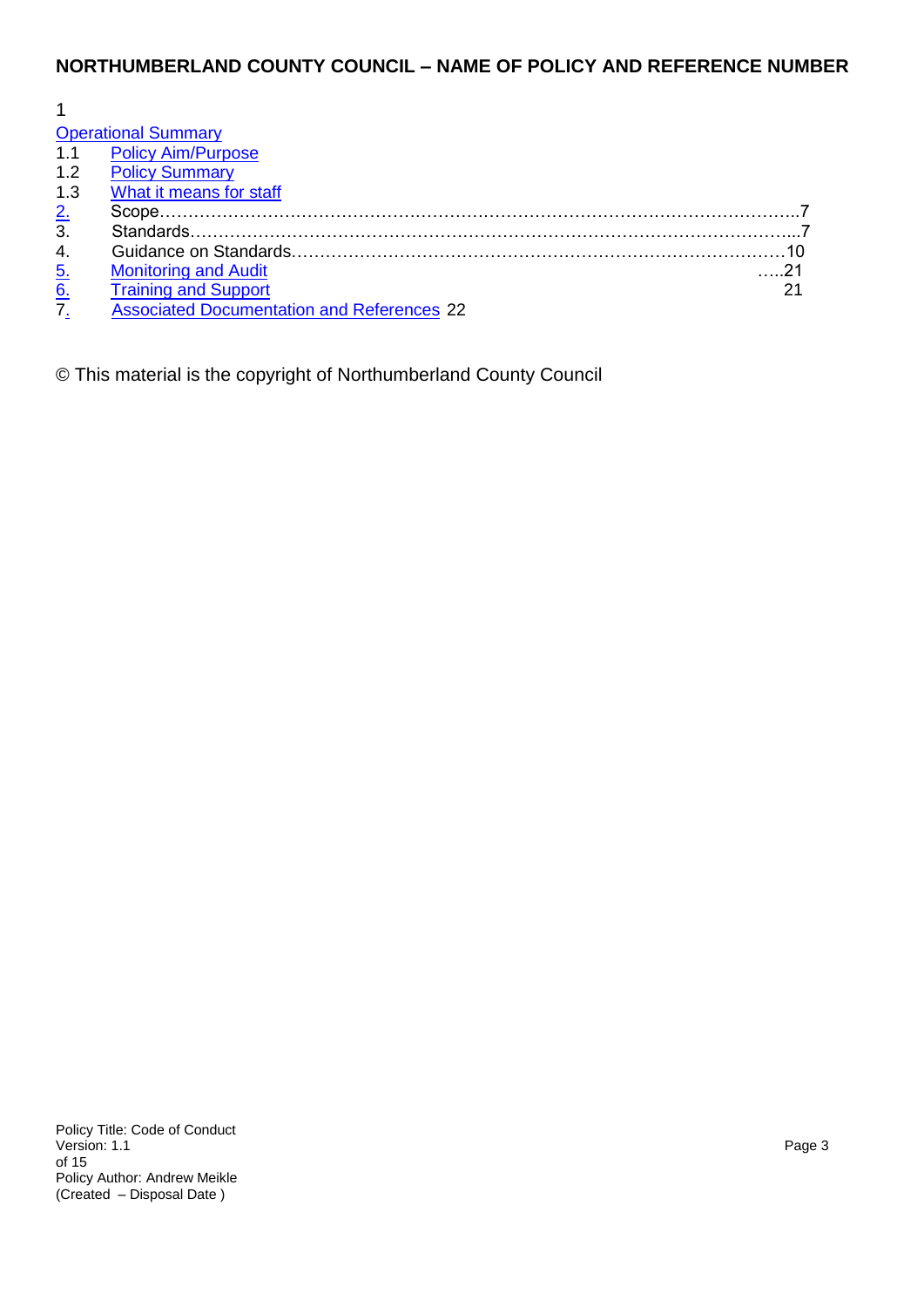## **NORTHUMBERLAND COUNTY COUNCIL – NAME OF POLICY AND REFERENCE NUMBER**

|                  | <b>Operational Summary</b>                        |  |
|------------------|---------------------------------------------------|--|
|                  | 1.1 Policy Aim/Purpose                            |  |
| 1.2              | <b>Policy Summary</b>                             |  |
| 1.3              | What it means for staff                           |  |
| $\frac{2}{3}$    |                                                   |  |
|                  |                                                   |  |
| 4.               |                                                   |  |
|                  | <b>Monitoring and Audit</b>                       |  |
| $\frac{5}{6}$    | <b>Training and Support</b>                       |  |
| $\overline{7}$ . | <b>Associated Documentation and References 22</b> |  |

© This material is the copyright of Northumberland County Council

Policy Title: Code of Conduct<br>Version: 1.1 Version: 1.1 Page 3 of 15 Policy Author: Andrew Meikle (Created – Disposal Date )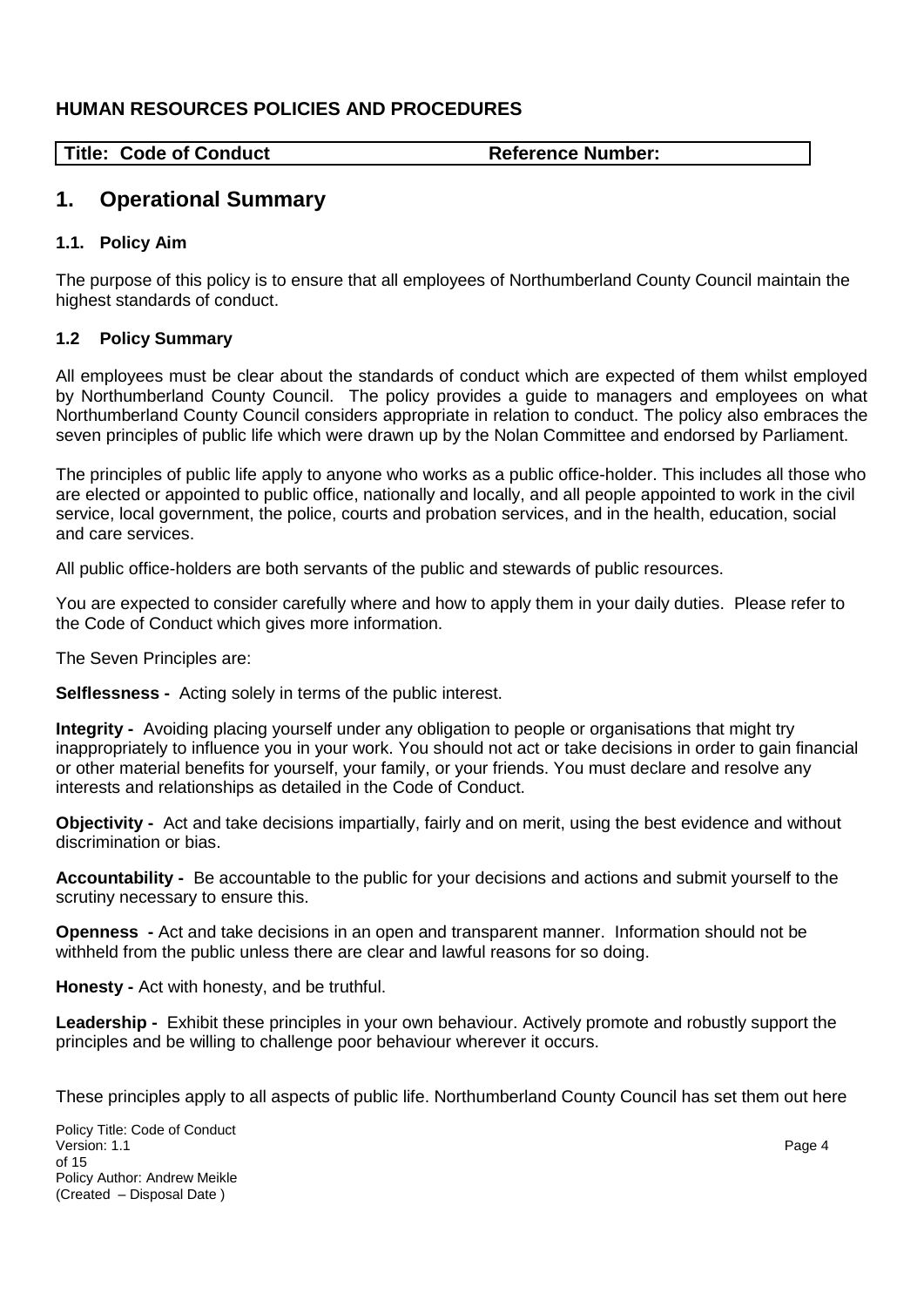## **HUMAN RESOURCES POLICIES AND PROCEDURES**

Title: Code of Conduct **Reference Number: Reference Number:** 

# <span id="page-3-0"></span>**1. Operational Summary**

#### <span id="page-3-1"></span>**1.1. Policy Aim**

The purpose of this policy is to ensure that all employees of Northumberland County Council maintain the highest standards of conduct.

#### <span id="page-3-2"></span>**1.2 Policy Summary**

All employees must be clear about the standards of conduct which are expected of them whilst employed by Northumberland County Council. The policy provides a guide to managers and employees on what Northumberland County Council considers appropriate in relation to conduct. The policy also embraces the seven principles of public life which were drawn up by the Nolan Committee and endorsed by Parliament.

The principles of public life apply to anyone who works as a public office-holder. This includes all those who are elected or appointed to public office, nationally and locally, and all people appointed to work in the civil service, local government, the police, courts and probation services, and in the health, education, social and care services.

All public office-holders are both servants of the public and stewards of public resources.

You are expected to consider carefully where and how to apply them in your daily duties. Please refer to the Code of Conduct which gives more information.

The Seven Principles are:

**Selflessness -** Acting solely in terms of the public interest.

**Integrity -** Avoiding placing yourself under any obligation to people or organisations that might try inappropriately to influence you in your work. You should not act or take decisions in order to gain financial or other material benefits for yourself, your family, or your friends. You must declare and resolve any interests and relationships as detailed in the Code of Conduct.

**Objectivity -** Act and take decisions impartially, fairly and on merit, using the best evidence and without discrimination or bias.

**Accountability -** Be accountable to the public for your decisions and actions and submit yourself to the scrutiny necessary to ensure this.

**Openness -** Act and take decisions in an open and transparent manner. Information should not be withheld from the public unless there are clear and lawful reasons for so doing.

**Honesty -** Act with honesty, and be truthful.

**Leadership -** Exhibit these principles in your own behaviour. Actively promote and robustly support the principles and be willing to challenge poor behaviour wherever it occurs.

These principles apply to all aspects of public life. Northumberland County Council has set them out here

Policy Title: Code of Conduct<br>Version: 1.1 Version: 1.1 Page 4 of 15 Policy Author: Andrew Meikle (Created – Disposal Date )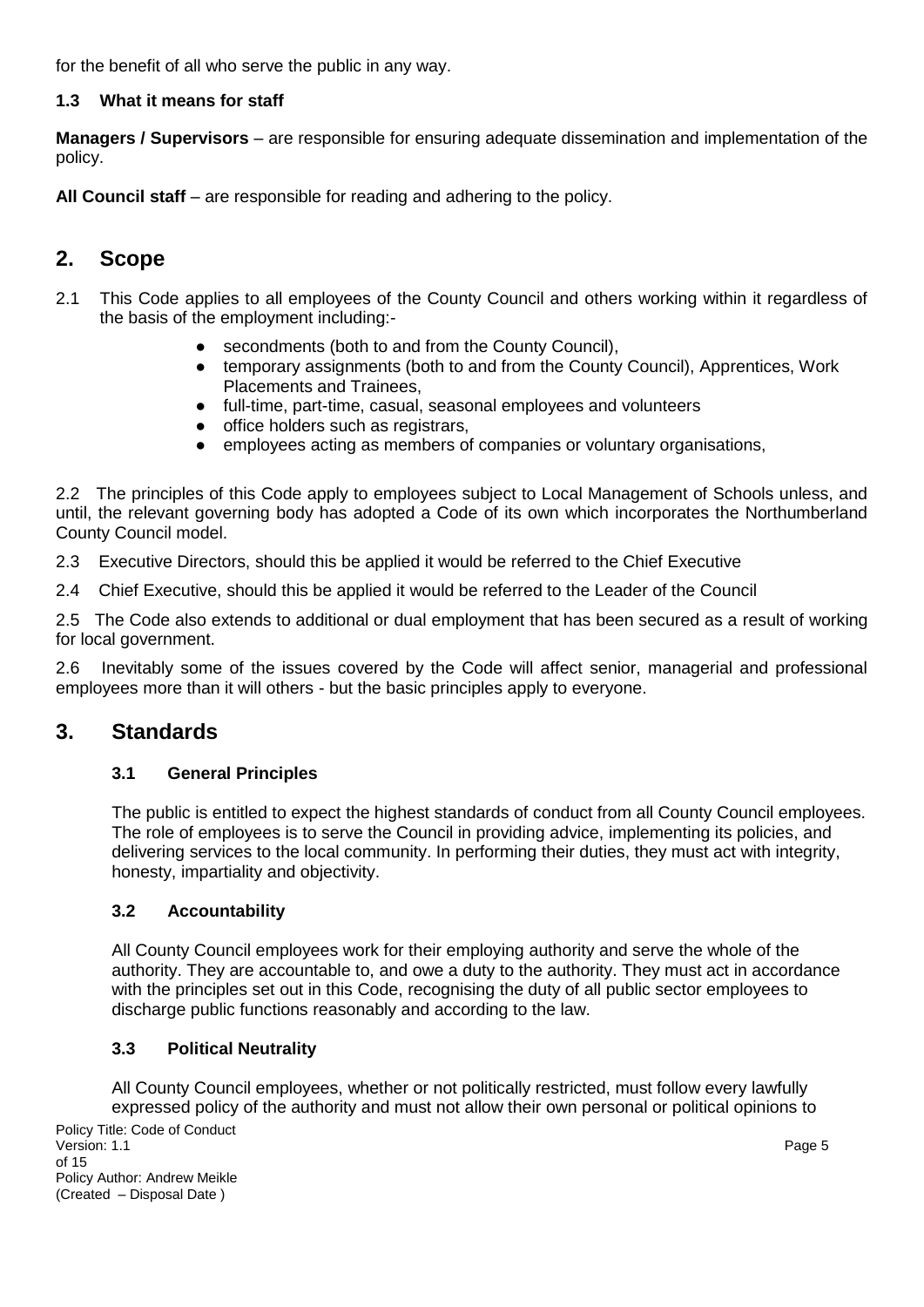for the benefit of all who serve the public in any way.

## **1.3 What it means for staff**

**Managers / Supervisors** – are responsible for ensuring adequate dissemination and implementation of the policy.

**All Council staff** – are responsible for reading and adhering to the policy.

# **2. Scope**

- 2.1 This Code applies to all employees of the County Council and others working within it regardless of the basis of the employment including:-
	- secondments (both to and from the County Council),
	- temporary assignments (both to and from the County Council), Apprentices, Work Placements and Trainees,
	- full-time, part-time, casual, seasonal employees and volunteers
	- office holders such as registrars,
	- employees acting as members of companies or voluntary organisations,

2.2 The principles of this Code apply to employees subject to Local Management of Schools unless, and until, the relevant governing body has adopted a Code of its own which incorporates the Northumberland County Council model.

2.3 Executive Directors, should this be applied it would be referred to the Chief Executive

2.4 Chief Executive, should this be applied it would be referred to the Leader of the Council

2.5 The Code also extends to additional or dual employment that has been secured as a result of working for local government.

2.6 Inevitably some of the issues covered by the Code will affect senior, managerial and professional employees more than it will others - but the basic principles apply to everyone.

## **3. Standards**

#### **3.1 General Principles**

The public is entitled to expect the highest standards of conduct from all County Council employees. The role of employees is to serve the Council in providing advice, implementing its policies, and delivering services to the local community. In performing their duties, they must act with integrity, honesty, impartiality and objectivity.

#### **3.2 Accountability**

All County Council employees work for their employing authority and serve the whole of the authority. They are accountable to, and owe a duty to the authority. They must act in accordance with the principles set out in this Code, recognising the duty of all public sector employees to discharge public functions reasonably and according to the law.

#### **3.3 Political Neutrality**

All County Council employees, whether or not politically restricted, must follow every lawfully expressed policy of the authority and must not allow their own personal or political opinions to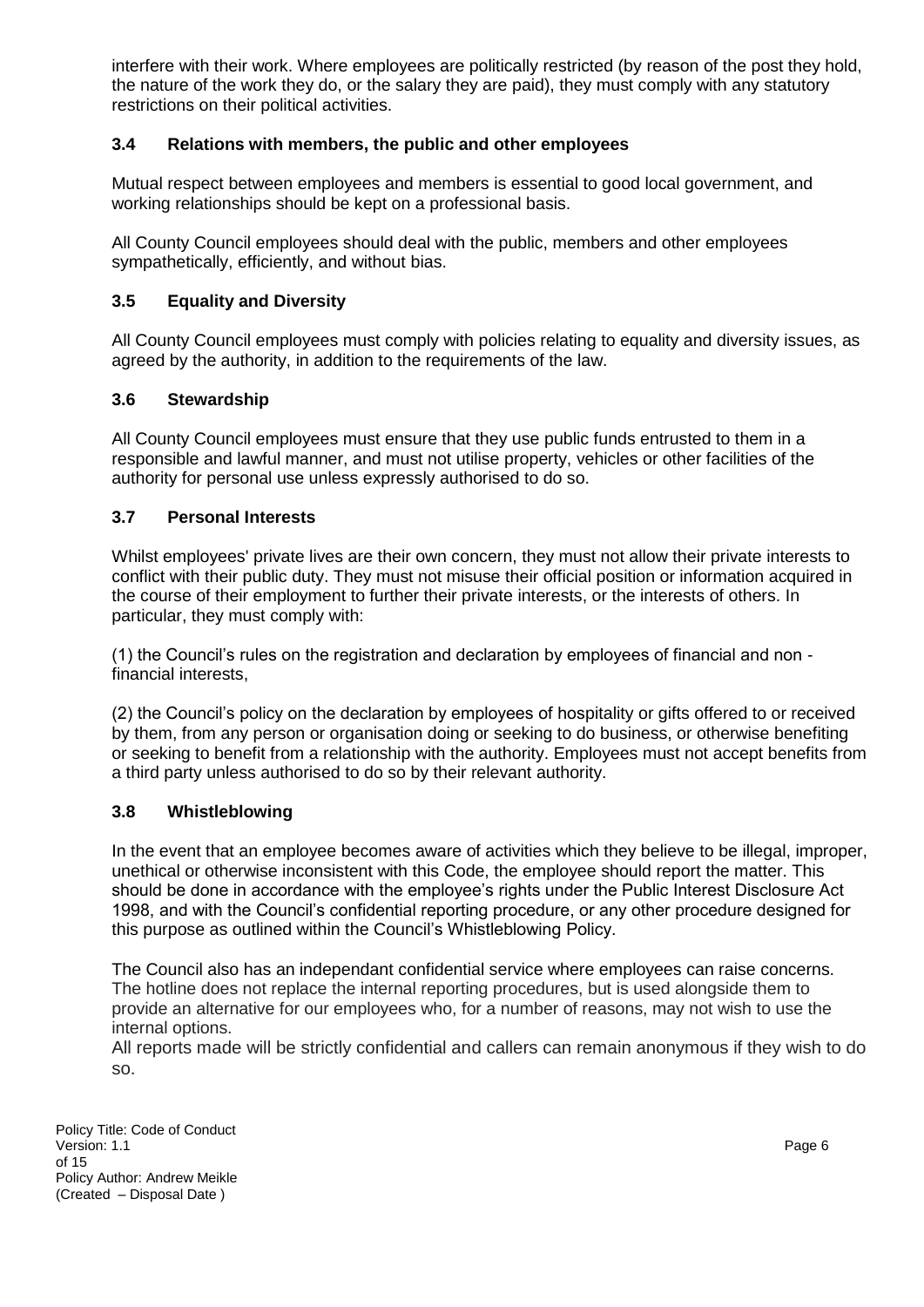interfere with their work. Where employees are politically restricted (by reason of the post they hold, the nature of the work they do, or the salary they are paid), they must comply with any statutory restrictions on their political activities.

#### **3.4 Relations with members, the public and other employees**

Mutual respect between employees and members is essential to good local government, and working relationships should be kept on a professional basis.

All County Council employees should deal with the public, members and other employees sympathetically, efficiently, and without bias.

#### **3.5 Equality and Diversity**

All County Council employees must comply with policies relating to equality and diversity issues, as agreed by the authority, in addition to the requirements of the law.

#### **3.6 Stewardship**

All County Council employees must ensure that they use public funds entrusted to them in a responsible and lawful manner, and must not utilise property, vehicles or other facilities of the authority for personal use unless expressly authorised to do so.

#### **3.7 Personal Interests**

Whilst employees' private lives are their own concern, they must not allow their private interests to conflict with their public duty. They must not misuse their official position or information acquired in the course of their employment to further their private interests, or the interests of others. In particular, they must comply with:

(1) the Council's rules on the registration and declaration by employees of financial and non financial interests,

(2) the Council's policy on the declaration by employees of hospitality or gifts offered to or received by them, from any person or organisation doing or seeking to do business, or otherwise benefiting or seeking to benefit from a relationship with the authority. Employees must not accept benefits from a third party unless authorised to do so by their relevant authority.

#### **3.8 Whistleblowing**

In the event that an employee becomes aware of activities which they believe to be illegal, improper, unethical or otherwise inconsistent with this Code, the employee should report the matter. This should be done in accordance with the employee's rights under the Public Interest Disclosure Act 1998, and with the Council's confidential reporting procedure, or any other procedure designed for this purpose as outlined within the Council's Whistleblowing Policy.

The Council also has an independant confidential service where employees can raise concerns. The hotline does not replace the internal reporting procedures, but is used alongside them to provide an alternative for our employees who, for a number of reasons, may not wish to use the internal options.

All reports made will be strictly confidential and callers can remain anonymous if they wish to do so.

Policy Title: Code of Conduct Version: 1.1 Page 6 of 15 Policy Author: Andrew Meikle (Created – Disposal Date )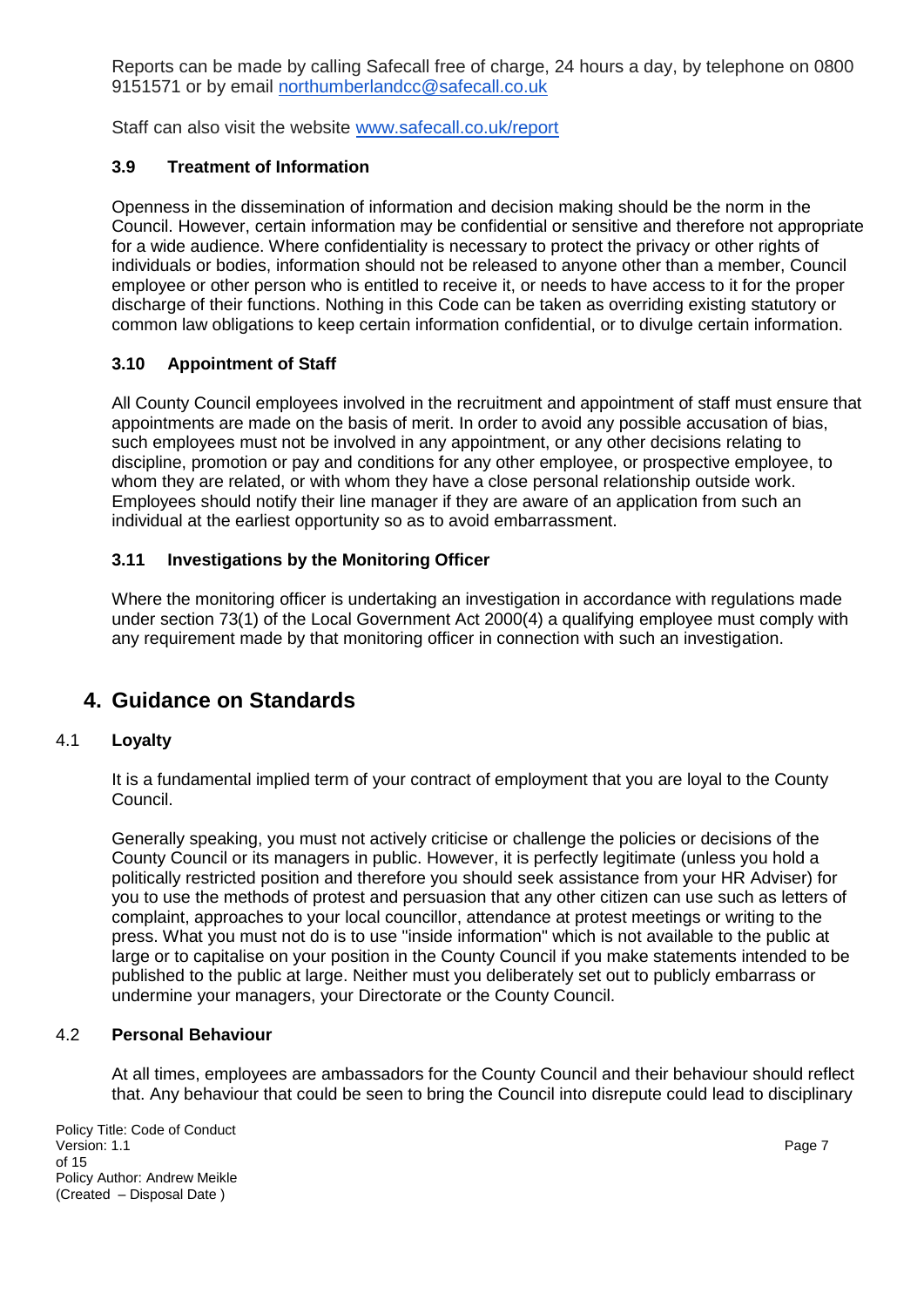Reports can be made by calling Safecall free of charge, 24 hours a day, by telephone on 0800 9151571 or by email [northumberlandcc@safecall.co.uk](about:blank)

Staff can also visit the website [www.safecall.co.uk/report](http://www.safecall.co.uk/report)

## **3.9 Treatment of Information**

Openness in the dissemination of information and decision making should be the norm in the Council. However, certain information may be confidential or sensitive and therefore not appropriate for a wide audience. Where confidentiality is necessary to protect the privacy or other rights of individuals or bodies, information should not be released to anyone other than a member, Council employee or other person who is entitled to receive it, or needs to have access to it for the proper discharge of their functions. Nothing in this Code can be taken as overriding existing statutory or common law obligations to keep certain information confidential, or to divulge certain information.

#### **3.10 Appointment of Staff**

All County Council employees involved in the recruitment and appointment of staff must ensure that appointments are made on the basis of merit. In order to avoid any possible accusation of bias, such employees must not be involved in any appointment, or any other decisions relating to discipline, promotion or pay and conditions for any other employee, or prospective employee, to whom they are related, or with whom they have a close personal relationship outside work. Employees should notify their line manager if they are aware of an application from such an individual at the earliest opportunity so as to avoid embarrassment.

#### **3.11 Investigations by the Monitoring Officer**

Where the monitoring officer is undertaking an investigation in accordance with regulations made under section 73(1) of the Local Government Act 2000(4) a qualifying employee must comply with any requirement made by that monitoring officer in connection with such an investigation.

## **4. Guidance on Standards**

#### 4.1 **Loyalty**

It is a fundamental implied term of your contract of employment that you are loyal to the County Council.

Generally speaking, you must not actively criticise or challenge the policies or decisions of the County Council or its managers in public. However, it is perfectly legitimate (unless you hold a politically restricted position and therefore you should seek assistance from your HR Adviser) for you to use the methods of protest and persuasion that any other citizen can use such as letters of complaint, approaches to your local councillor, attendance at protest meetings or writing to the press. What you must not do is to use "inside information" which is not available to the public at large or to capitalise on your position in the County Council if you make statements intended to be published to the public at large. Neither must you deliberately set out to publicly embarrass or undermine your managers, your Directorate or the County Council.

#### 4.2 **Personal Behaviour**

At all times, employees are ambassadors for the County Council and their behaviour should reflect that. Any behaviour that could be seen to bring the Council into disrepute could lead to disciplinary

Policy Title: Code of Conduct<br>Version: 1.1 Version: 1.1 Page 7 of 15 Policy Author: Andrew Meikle (Created – Disposal Date )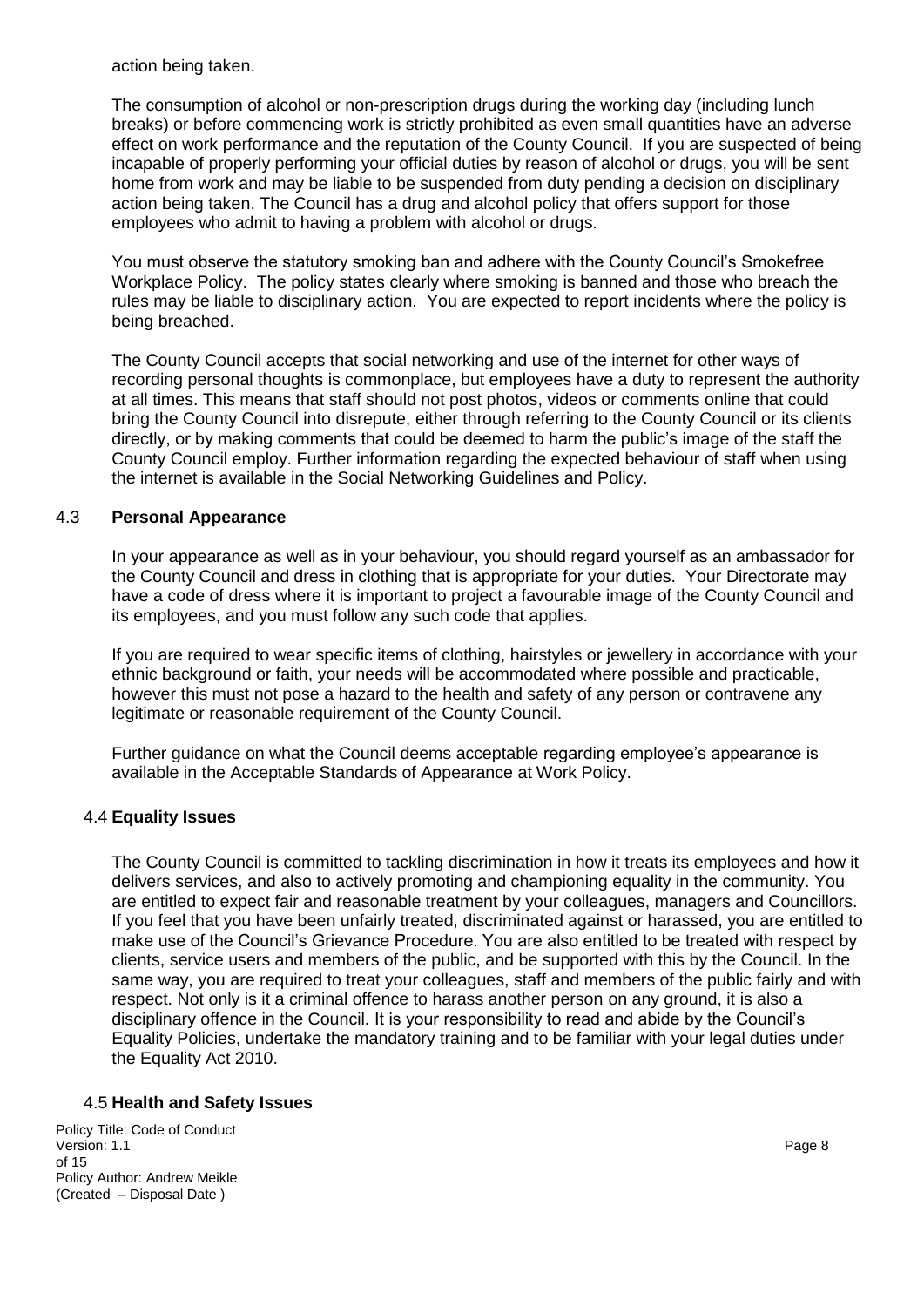action being taken.

The consumption of alcohol or non-prescription drugs during the working day (including lunch breaks) or before commencing work is strictly prohibited as even small quantities have an adverse effect on work performance and the reputation of the County Council. If you are suspected of being incapable of properly performing your official duties by reason of alcohol or drugs, you will be sent home from work and may be liable to be suspended from duty pending a decision on disciplinary action being taken. The Council has a drug and alcohol policy that offers support for those employees who admit to having a problem with alcohol or drugs.

You must observe the statutory smoking ban and adhere with the County Council's Smokefree Workplace Policy. The policy states clearly where smoking is banned and those who breach the rules may be liable to disciplinary action. You are expected to report incidents where the policy is being breached.

The County Council accepts that social networking and use of the internet for other ways of recording personal thoughts is commonplace, but employees have a duty to represent the authority at all times. This means that staff should not post photos, videos or comments online that could bring the County Council into disrepute, either through referring to the County Council or its clients directly, or by making comments that could be deemed to harm the public's image of the staff the County Council employ. Further information regarding the expected behaviour of staff when using the internet is available in the Social Networking Guidelines and Policy.

#### 4.3 **Personal Appearance**

In your appearance as well as in your behaviour, you should regard yourself as an ambassador for the County Council and dress in clothing that is appropriate for your duties. Your Directorate may have a code of dress where it is important to project a favourable image of the County Council and its employees, and you must follow any such code that applies.

If you are required to wear specific items of clothing, hairstyles or jewellery in accordance with your ethnic background or faith, your needs will be accommodated where possible and practicable, however this must not pose a hazard to the health and safety of any person or contravene any legitimate or reasonable requirement of the County Council.

Further guidance on what the Council deems acceptable regarding employee's appearance is available in the Acceptable Standards of Appearance at Work Policy.

## 4.4 **Equality Issues**

The County Council is committed to tackling discrimination in how it treats its employees and how it delivers services, and also to actively promoting and championing equality in the community. You are entitled to expect fair and reasonable treatment by your colleagues, managers and Councillors. If you feel that you have been unfairly treated, discriminated against or harassed, you are entitled to make use of the Council's Grievance Procedure. You are also entitled to be treated with respect by clients, service users and members of the public, and be supported with this by the Council. In the same way, you are required to treat your colleagues, staff and members of the public fairly and with respect. Not only is it a criminal offence to harass another person on any ground, it is also a disciplinary offence in the Council. It is your responsibility to read and abide by the Council's Equality Policies, undertake the mandatory training and to be familiar with your legal duties under the Equality Act 2010.

#### 4.5 **Health and Safety Issues**

Policy Title: Code of Conduct<br>Version: 1.1 Version: 1.1 Page 8 of 15 Policy Author: Andrew Meikle (Created – Disposal Date )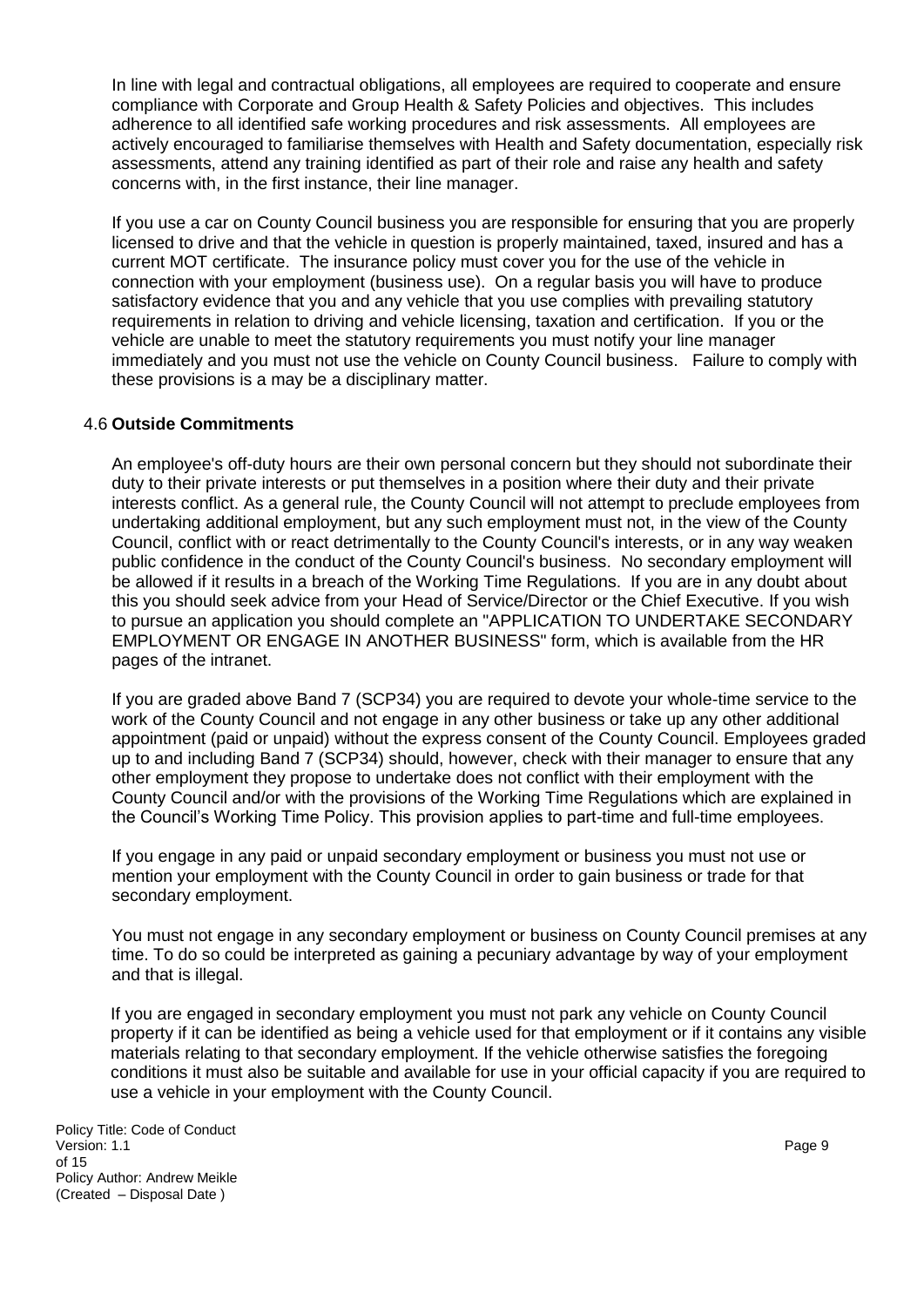In line with legal and contractual obligations, all employees are required to cooperate and ensure compliance with Corporate and Group Health & Safety Policies and objectives. This includes adherence to all identified safe working procedures and risk assessments. All employees are actively encouraged to familiarise themselves with Health and Safety documentation, especially risk assessments, attend any training identified as part of their role and raise any health and safety concerns with, in the first instance, their line manager.

If you use a car on County Council business you are responsible for ensuring that you are properly licensed to drive and that the vehicle in question is properly maintained, taxed, insured and has a current MOT certificate. The insurance policy must cover you for the use of the vehicle in connection with your employment (business use). On a regular basis you will have to produce satisfactory evidence that you and any vehicle that you use complies with prevailing statutory requirements in relation to driving and vehicle licensing, taxation and certification. If you or the vehicle are unable to meet the statutory requirements you must notify your line manager immediately and you must not use the vehicle on County Council business. Failure to comply with these provisions is a may be a disciplinary matter.

#### 4.6 **Outside Commitments**

An employee's off-duty hours are their own personal concern but they should not subordinate their duty to their private interests or put themselves in a position where their duty and their private interests conflict. As a general rule, the County Council will not attempt to preclude employees from undertaking additional employment, but any such employment must not, in the view of the County Council, conflict with or react detrimentally to the County Council's interests, or in any way weaken public confidence in the conduct of the County Council's business. No secondary employment will be allowed if it results in a breach of the Working Time Regulations. If you are in any doubt about this you should seek advice from your Head of Service/Director or the Chief Executive. If you wish to pursue an application you should complete an "APPLICATION TO UNDERTAKE SECONDARY EMPLOYMENT OR ENGAGE IN ANOTHER BUSINESS" form, which is available from the HR pages of the intranet.

If you are graded above Band 7 (SCP34) you are required to devote your whole-time service to the work of the County Council and not engage in any other business or take up any other additional appointment (paid or unpaid) without the express consent of the County Council. Employees graded up to and including Band 7 (SCP34) should, however, check with their manager to ensure that any other employment they propose to undertake does not conflict with their employment with the County Council and/or with the provisions of the Working Time Regulations which are explained in the Council's Working Time Policy. This provision applies to part-time and full-time employees.

If you engage in any paid or unpaid secondary employment or business you must not use or mention your employment with the County Council in order to gain business or trade for that secondary employment.

You must not engage in any secondary employment or business on County Council premises at any time. To do so could be interpreted as gaining a pecuniary advantage by way of your employment and that is illegal.

If you are engaged in secondary employment you must not park any vehicle on County Council property if it can be identified as being a vehicle used for that employment or if it contains any visible materials relating to that secondary employment. If the vehicle otherwise satisfies the foregoing conditions it must also be suitable and available for use in your official capacity if you are required to use a vehicle in your employment with the County Council.

Policy Title: Code of Conduct Version: 1.1 Page 9 of 15 Policy Author: Andrew Meikle (Created – Disposal Date )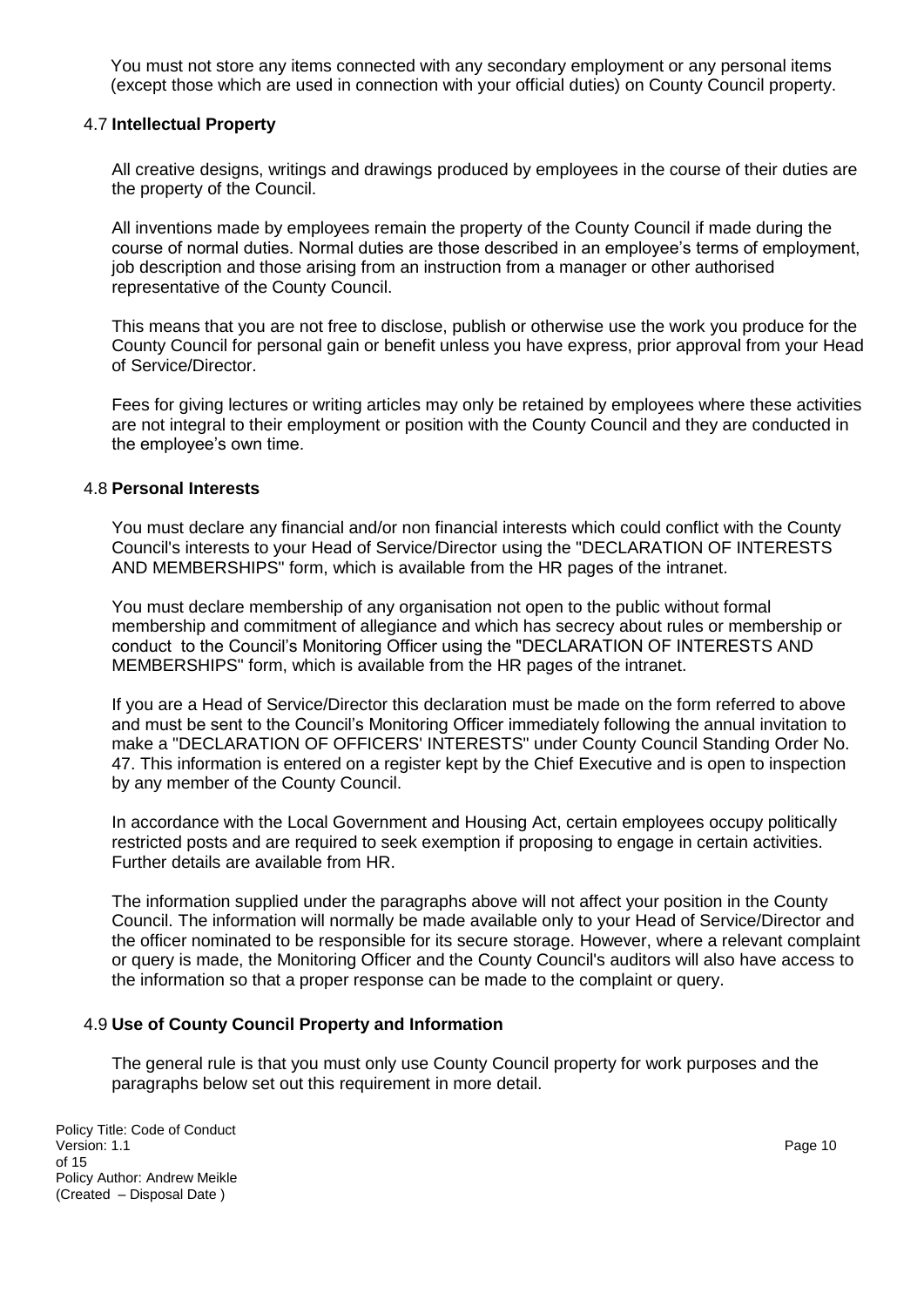You must not store any items connected with any secondary employment or any personal items (except those which are used in connection with your official duties) on County Council property.

#### 4.7 **Intellectual Property**

All creative designs, writings and drawings produced by employees in the course of their duties are the property of the Council.

All inventions made by employees remain the property of the County Council if made during the course of normal duties. Normal duties are those described in an employee's terms of employment, job description and those arising from an instruction from a manager or other authorised representative of the County Council.

This means that you are not free to disclose, publish or otherwise use the work you produce for the County Council for personal gain or benefit unless you have express, prior approval from your Head of Service/Director.

Fees for giving lectures or writing articles may only be retained by employees where these activities are not integral to their employment or position with the County Council and they are conducted in the employee's own time.

#### 4.8 **Personal Interests**

You must declare any financial and/or non financial interests which could conflict with the County Council's interests to your Head of Service/Director using the "DECLARATION OF INTERESTS AND MEMBERSHIPS" form, which is available from the HR pages of the intranet.

You must declare membership of any organisation not open to the public without formal membership and commitment of allegiance and which has secrecy about rules or membership or conduct to the Council's Monitoring Officer using the "DECLARATION OF INTERESTS AND MEMBERSHIPS" form, which is available from the HR pages of the intranet.

If you are a Head of Service/Director this declaration must be made on the form referred to above and must be sent to the Council's Monitoring Officer immediately following the annual invitation to make a "DECLARATION OF OFFICERS' INTERESTS" under County Council Standing Order No. 47. This information is entered on a register kept by the Chief Executive and is open to inspection by any member of the County Council.

In accordance with the Local Government and Housing Act, certain employees occupy politically restricted posts and are required to seek exemption if proposing to engage in certain activities. Further details are available from HR.

The information supplied under the paragraphs above will not affect your position in the County Council. The information will normally be made available only to your Head of Service/Director and the officer nominated to be responsible for its secure storage. However, where a relevant complaint or query is made, the Monitoring Officer and the County Council's auditors will also have access to the information so that a proper response can be made to the complaint or query.

#### 4.9 **Use of County Council Property and Information**

The general rule is that you must only use County Council property for work purposes and the paragraphs below set out this requirement in more detail.

Policy Title: Code of Conduct<br>Version: 1.1 Version: 1.1 Page 10 of 15 Policy Author: Andrew Meikle (Created – Disposal Date )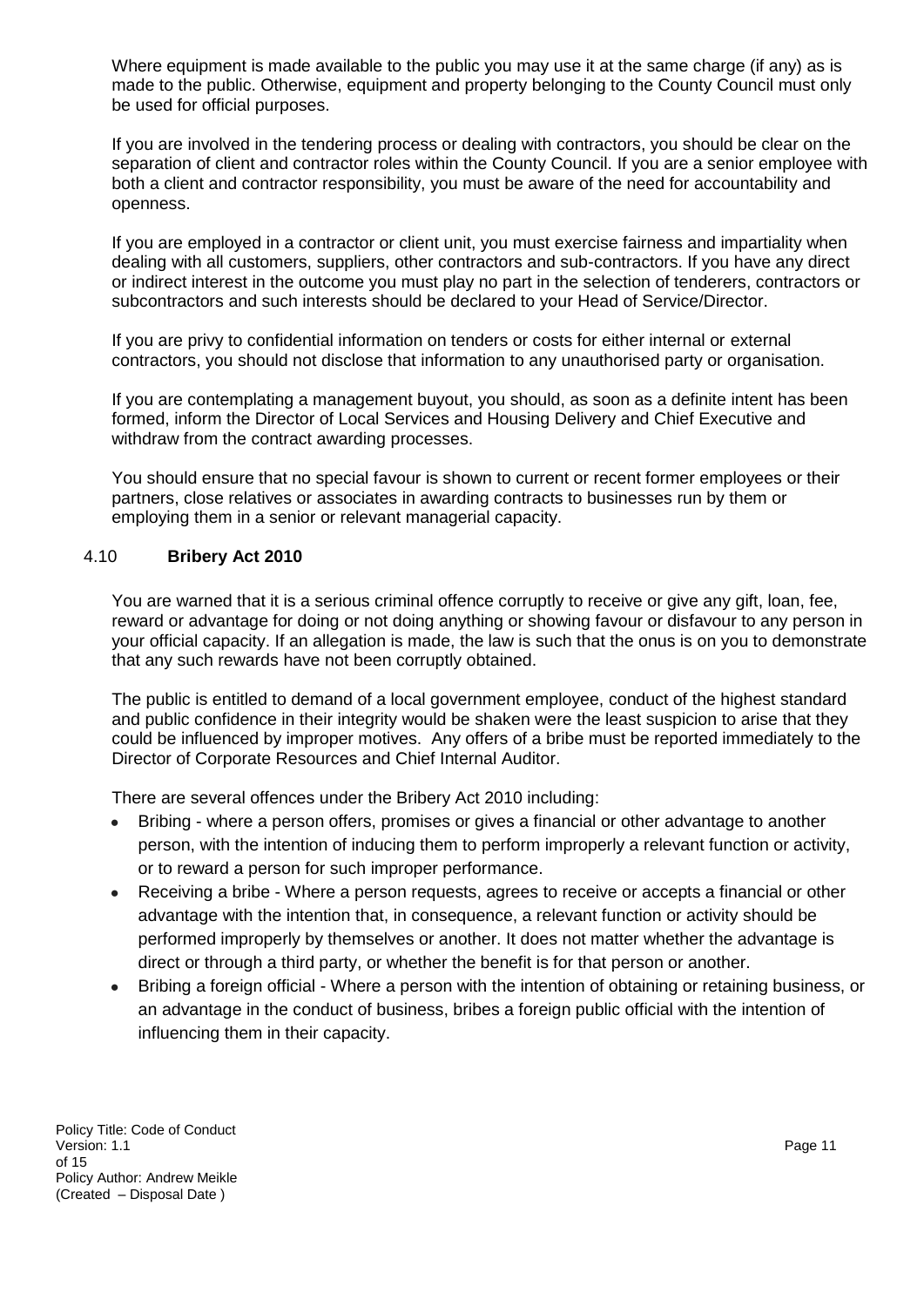Where equipment is made available to the public you may use it at the same charge (if any) as is made to the public. Otherwise, equipment and property belonging to the County Council must only be used for official purposes.

If you are involved in the tendering process or dealing with contractors, you should be clear on the separation of client and contractor roles within the County Council. If you are a senior employee with both a client and contractor responsibility, you must be aware of the need for accountability and openness.

If you are employed in a contractor or client unit, you must exercise fairness and impartiality when dealing with all customers, suppliers, other contractors and sub-contractors. If you have any direct or indirect interest in the outcome you must play no part in the selection of tenderers, contractors or subcontractors and such interests should be declared to your Head of Service/Director.

If you are privy to confidential information on tenders or costs for either internal or external contractors, you should not disclose that information to any unauthorised party or organisation.

If you are contemplating a management buyout, you should, as soon as a definite intent has been formed, inform the Director of Local Services and Housing Delivery and Chief Executive and withdraw from the contract awarding processes.

You should ensure that no special favour is shown to current or recent former employees or their partners, close relatives or associates in awarding contracts to businesses run by them or employing them in a senior or relevant managerial capacity.

#### 4.10 **Bribery Act 2010**

You are warned that it is a serious criminal offence corruptly to receive or give any gift, loan, fee, reward or advantage for doing or not doing anything or showing favour or disfavour to any person in your official capacity. If an allegation is made, the law is such that the onus is on you to demonstrate that any such rewards have not been corruptly obtained.

The public is entitled to demand of a local government employee, conduct of the highest standard and public confidence in their integrity would be shaken were the least suspicion to arise that they could be influenced by improper motives. Any offers of a bribe must be reported immediately to the Director of Corporate Resources and Chief Internal Auditor.

There are several offences under the Bribery Act 2010 including:

- Bribing where a person offers, promises or gives a financial or other advantage to another person, with the intention of inducing them to perform improperly a relevant function or activity, or to reward a person for such improper performance.
- Receiving a bribe Where a person requests, agrees to receive or accepts a financial or other advantage with the intention that, in consequence, a relevant function or activity should be performed improperly by themselves or another. It does not matter whether the advantage is direct or through a third party, or whether the benefit is for that person or another.
- Bribing a foreign official Where a person with the intention of obtaining or retaining business, or an advantage in the conduct of business, bribes a foreign public official with the intention of influencing them in their capacity.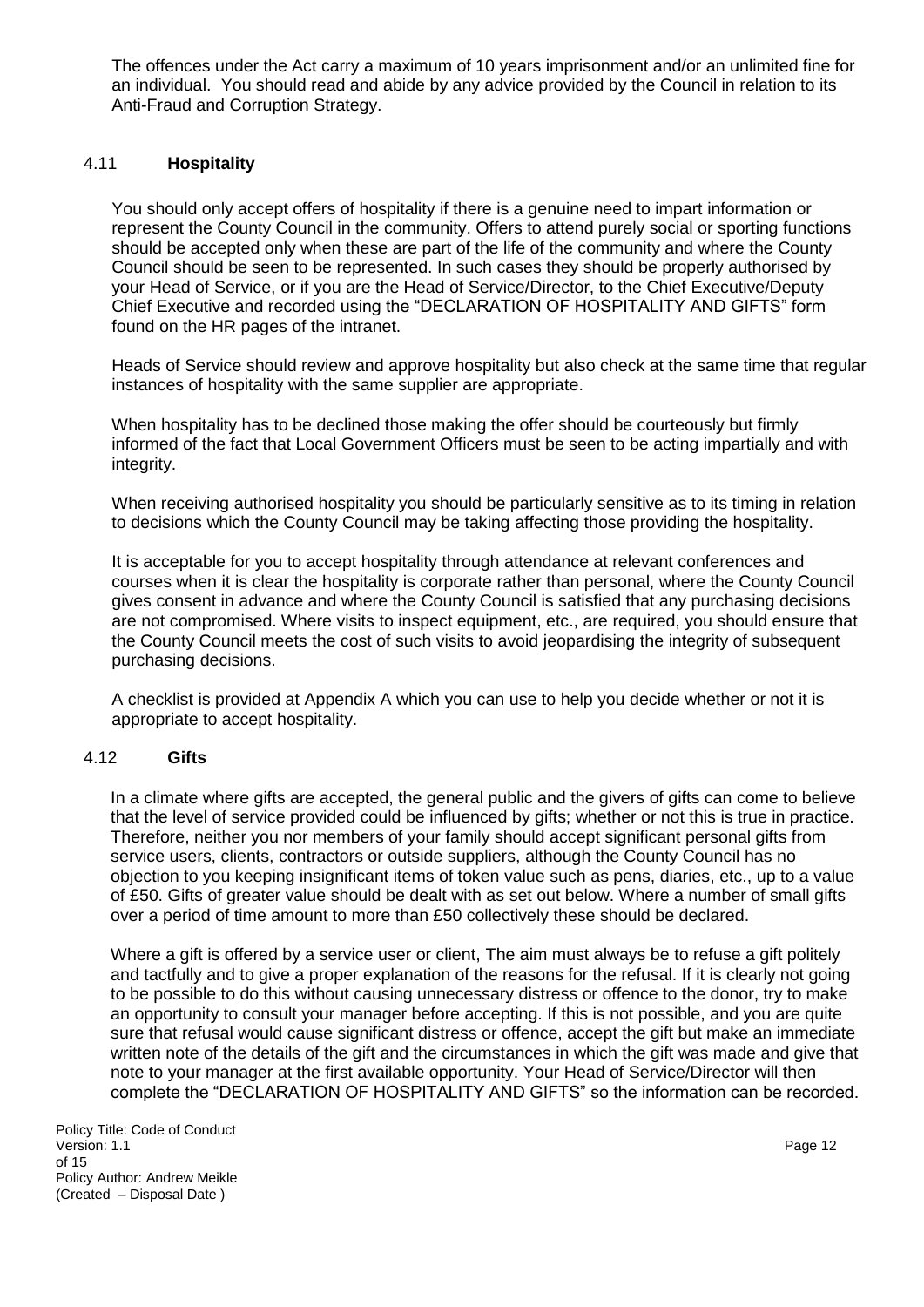The offences under the Act carry a maximum of 10 years imprisonment and/or an unlimited fine for an individual. You should read and abide by any advice provided by the Council in relation to its Anti-Fraud and Corruption Strategy.

### 4.11 **Hospitality**

You should only accept offers of hospitality if there is a genuine need to impart information or represent the County Council in the community. Offers to attend purely social or sporting functions should be accepted only when these are part of the life of the community and where the County Council should be seen to be represented. In such cases they should be properly authorised by your Head of Service, or if you are the Head of Service/Director, to the Chief Executive/Deputy Chief Executive and recorded using the "DECLARATION OF HOSPITALITY AND GIFTS" form found on the HR pages of the intranet.

Heads of Service should review and approve hospitality but also check at the same time that regular instances of hospitality with the same supplier are appropriate.

When hospitality has to be declined those making the offer should be courteously but firmly informed of the fact that Local Government Officers must be seen to be acting impartially and with integrity.

When receiving authorised hospitality you should be particularly sensitive as to its timing in relation to decisions which the County Council may be taking affecting those providing the hospitality.

It is acceptable for you to accept hospitality through attendance at relevant conferences and courses when it is clear the hospitality is corporate rather than personal, where the County Council gives consent in advance and where the County Council is satisfied that any purchasing decisions are not compromised. Where visits to inspect equipment, etc., are required, you should ensure that the County Council meets the cost of such visits to avoid jeopardising the integrity of subsequent purchasing decisions.

A checklist is provided at Appendix A which you can use to help you decide whether or not it is appropriate to accept hospitality.

### 4.12 **Gifts**

In a climate where gifts are accepted, the general public and the givers of gifts can come to believe that the level of service provided could be influenced by gifts; whether or not this is true in practice. Therefore, neither you nor members of your family should accept significant personal gifts from service users, clients, contractors or outside suppliers, although the County Council has no objection to you keeping insignificant items of token value such as pens, diaries, etc., up to a value of £50. Gifts of greater value should be dealt with as set out below. Where a number of small gifts over a period of time amount to more than £50 collectively these should be declared.

Where a gift is offered by a service user or client, The aim must always be to refuse a gift politely and tactfully and to give a proper explanation of the reasons for the refusal. If it is clearly not going to be possible to do this without causing unnecessary distress or offence to the donor, try to make an opportunity to consult your manager before accepting. If this is not possible, and you are quite sure that refusal would cause significant distress or offence, accept the gift but make an immediate written note of the details of the gift and the circumstances in which the gift was made and give that note to your manager at the first available opportunity. Your Head of Service/Director will then complete the "DECLARATION OF HOSPITALITY AND GIFTS" so the information can be recorded.

Policy Title: Code of Conduct Version: 1.1 Page 12 of 15 Policy Author: Andrew Meikle (Created – Disposal Date )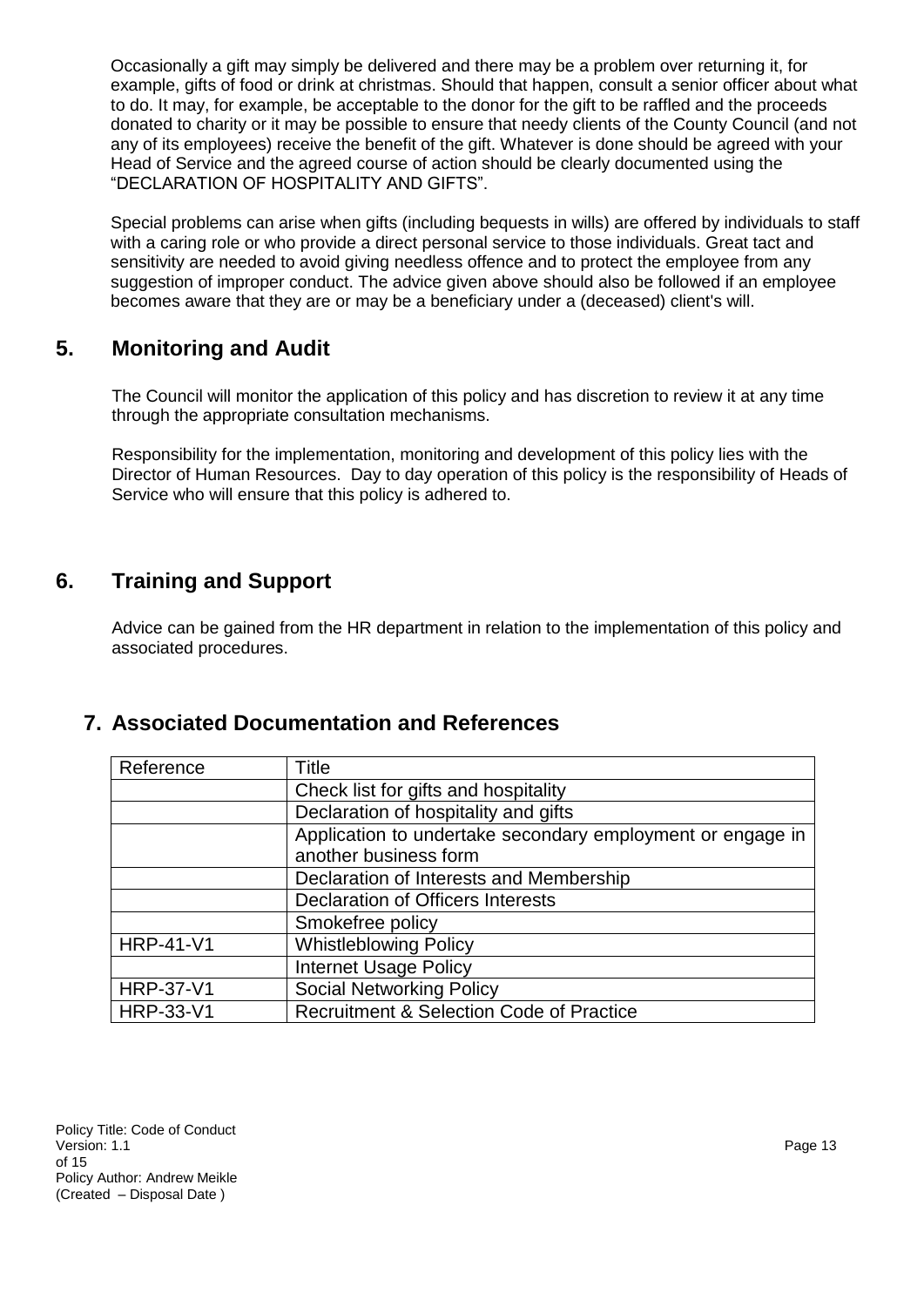Occasionally a gift may simply be delivered and there may be a problem over returning it, for example, gifts of food or drink at christmas. Should that happen, consult a senior officer about what to do. It may, for example, be acceptable to the donor for the gift to be raffled and the proceeds donated to charity or it may be possible to ensure that needy clients of the County Council (and not any of its employees) receive the benefit of the gift. Whatever is done should be agreed with your Head of Service and the agreed course of action should be clearly documented using the "DECLARATION OF HOSPITALITY AND GIFTS".

Special problems can arise when gifts (including bequests in wills) are offered by individuals to staff with a caring role or who provide a direct personal service to those individuals. Great tact and sensitivity are needed to avoid giving needless offence and to protect the employee from any suggestion of improper conduct. The advice given above should also be followed if an employee becomes aware that they are or may be a beneficiary under a (deceased) client's will.

# **5. Monitoring and Audit**

The Council will monitor the application of this policy and has discretion to review it at any time through the appropriate consultation mechanisms.

Responsibility for the implementation, monitoring and development of this policy lies with the Director of Human Resources. Day to day operation of this policy is the responsibility of Heads of Service who will ensure that this policy is adhered to.

# **6. Training and Support**

Advice can be gained from the HR department in relation to the implementation of this policy and associated procedures.

## <span id="page-12-0"></span>**7. Associated Documentation and References**

| Reference        | Title                                                      |
|------------------|------------------------------------------------------------|
|                  | Check list for gifts and hospitality                       |
|                  | Declaration of hospitality and gifts                       |
|                  | Application to undertake secondary employment or engage in |
|                  | another business form                                      |
|                  | Declaration of Interests and Membership                    |
|                  | Declaration of Officers Interests                          |
|                  | Smokefree policy                                           |
| <b>HRP-41-V1</b> | <b>Whistleblowing Policy</b>                               |
|                  | <b>Internet Usage Policy</b>                               |
| <b>HRP-37-V1</b> | <b>Social Networking Policy</b>                            |
| <b>HRP-33-V1</b> | <b>Recruitment &amp; Selection Code of Practice</b>        |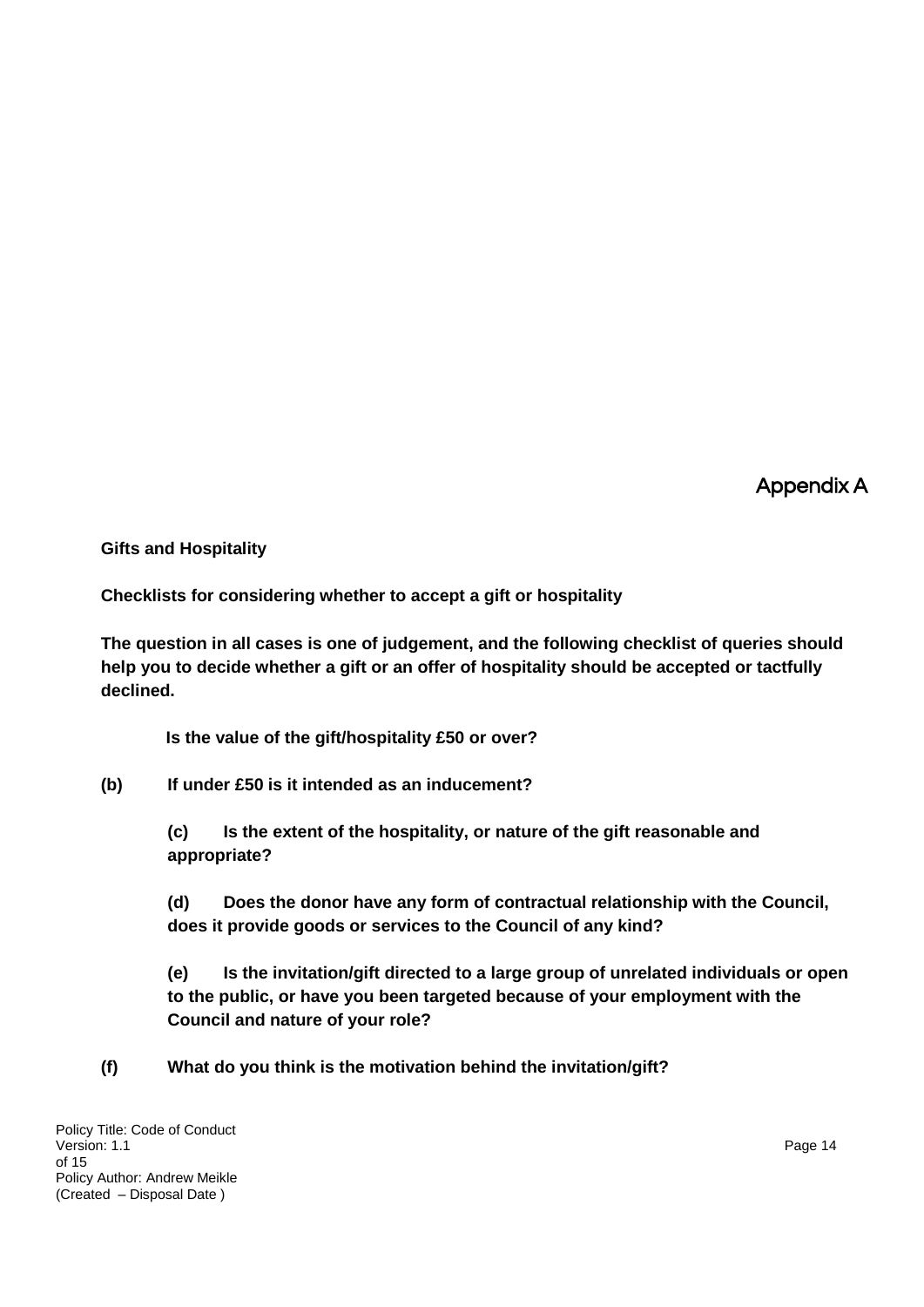Appendix A

**Gifts and Hospitality** 

**Checklists for considering whether to accept a gift or hospitality**

**The question in all cases is one of judgement, and the following checklist of queries should help you to decide whether a gift or an offer of hospitality should be accepted or tactfully declined.**

**Is the value of the gift/hospitality £50 or over?**

**(b) If under £50 is it intended as an inducement?**

**(c) Is the extent of the hospitality, or nature of the gift reasonable and appropriate?**

**(d) Does the donor have any form of contractual relationship with the Council, does it provide goods or services to the Council of any kind?**

**(e) Is the invitation/gift directed to a large group of unrelated individuals or open to the public, or have you been targeted because of your employment with the Council and nature of your role?**

**(f) What do you think is the motivation behind the invitation/gift?**